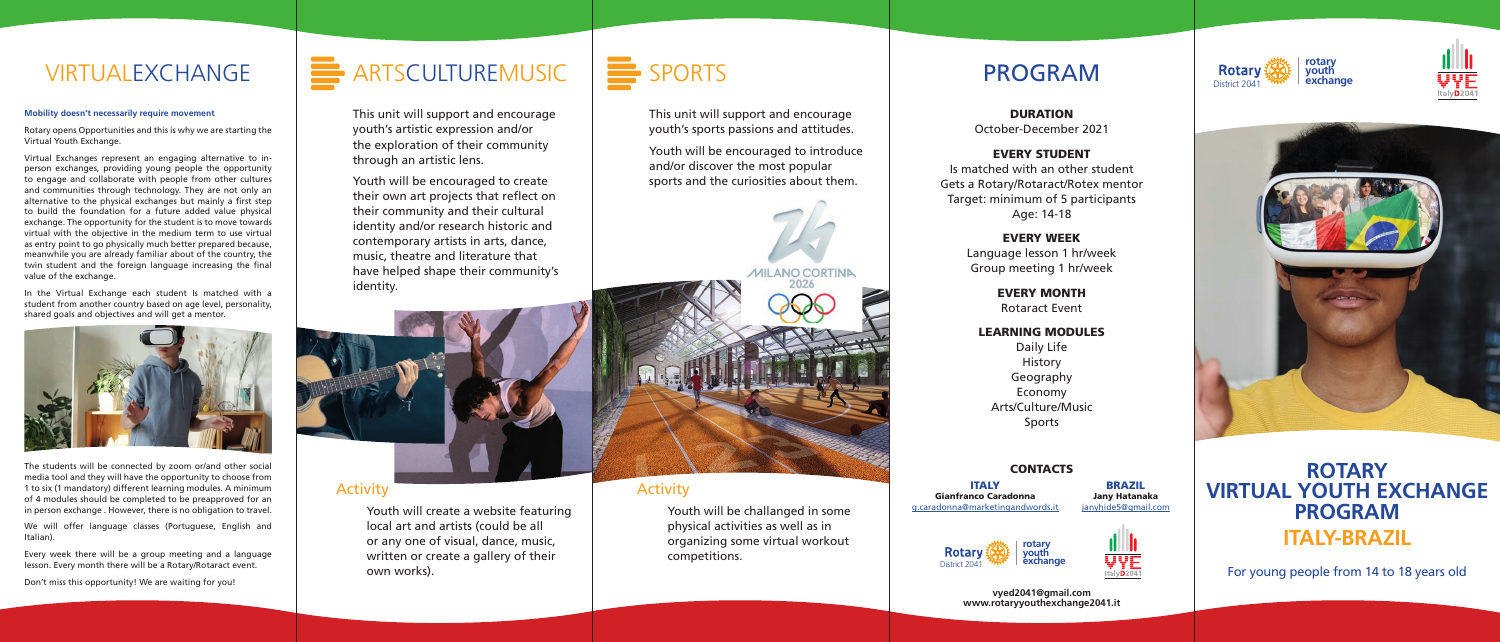### **Mobility doesn't necessarily require movement**

Rotary opens Opportunities and this is why we are starting the Virtual Youth Exchange.

Virtual Exchanges represent an engaging alternative to inperson exchanges, providing young people the opportunity to engage and collaborate with people from other cultures and communities through technology. They are not only an alternative to the physical exchanges but mainly a first step to build the foundation for a future added value physical exchange. The opportunity for the student is to move towards virtual with the objective in the medium term to use virtual as entry point to go physically much better prepared because, meanwhile you are already familiar about of the country, the twin student and the foreign language increasing the final value of the exchange.

In the Virtual Exchange each student Is matched with a student from another country based on age level, personality, shared goals and objectives and will get a mentor.



The students will be connected by zoom or/and other social media tool and they will have the opportunity to choose from 1 to six (1 mandatory) different learning modules. A minimum of 4 modules should be completed to be preapproved for an in person exchange . However, there is no obligation to travel.

We will offer language classes (Portuguese, English and Italian).

Every week there will be a group meeting and a language lesson. Every month there will be a Rotary/Rotaract event.

Don't miss this opportunity! We are waiting for you!







For young people from 14 to 18 years old

## **ROTARY VIRTUAL YOUTH EXCHANGE PROGRAM rotary ITALY-BRAZIL**





**vyed2041@gmail.com www.rotaryyouthexchange2041.it**

DURATION

October-December 2021

### EVERY STUDENT

Is matched with an other student Gets a Rotary/Rotaract/Rotex mentor Target: minimum of 5 participants Age: 14-18

### EVERY WEEK

Language lesson 1 hr/week Group meeting 1 hr/week

> EVERY MONTH Rotaract Event

## LEARNING MODULES

Daily Life History Geography Economy Arts/Culture/Music Sports

### **CONTACTS**

## VIRTUALEXCHANGE

This unit will support and encourage youth's artistic expression and/or the exploration of their community through an artistic lens.

Youth will be encouraged to create their own art projects that reflect on their community and their cultural identity and/or research historic and contemporary artists in arts, dance, music, theatre and literature that have helped shape their community's identity.



This unit will support and encourage youth's sports passions and attitudes.

Youth will be encouraged to introduce and/or discover the most popular sports and the curiosities about them.



## Activity

Youth will create a website featuring local art and artists (could be all or any one of visual, dance, music, written or create a gallery of their own works).

## Activity

Youth will be challanged in some physical activities as well as in organizing some virtual workout competitions.

**Rotary** 



ITALY Gianfranco Caradonna g.caradonna@marketingandwords.it

BRAZIL Jany Hatanaka janyhide5@gmail.com